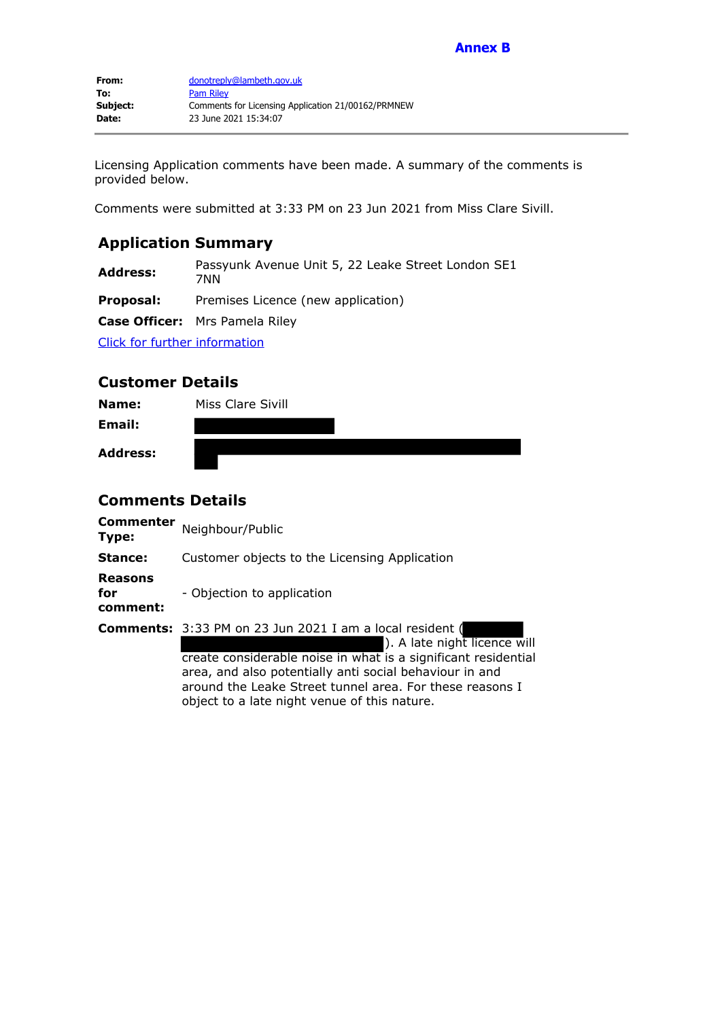Licensing Application comments have been made. A summary of the comments is provided below.

Comments were submitted at 3:33 PM on 23 Jun 2021 from Miss Clare Sivill.

# **Application Summary**

**Address:** Passyunk Avenue Unit 5, 22 Leake Street London SE1 7NN

**Proposal:** Premises Licence (new application)

**Case Officer:** Mrs Pamela Riley

Click for further information

## **Customer Details**

| Name:           | Miss Clare Sivill |
|-----------------|-------------------|
| Email:          |                   |
| <b>Address:</b> |                   |

## **Comments Details**

| <b>Commenter</b><br>Type:         | Neighbour/Public                                                                                                                                                                                                                                                                                                                         |  |
|-----------------------------------|------------------------------------------------------------------------------------------------------------------------------------------------------------------------------------------------------------------------------------------------------------------------------------------------------------------------------------------|--|
| Stance:                           | Customer objects to the Licensing Application                                                                                                                                                                                                                                                                                            |  |
| <b>Reasons</b><br>for<br>comment: | - Objection to application                                                                                                                                                                                                                                                                                                               |  |
|                                   | <b>Comments:</b> 3:33 PM on 23 Jun 2021 I am a local resident (<br>). A late night licence will<br>create considerable noise in what is a significant residential<br>area, and also potentially anti social behaviour in and<br>around the Leake Street tunnel area. For these reasons I<br>object to a late night venue of this nature. |  |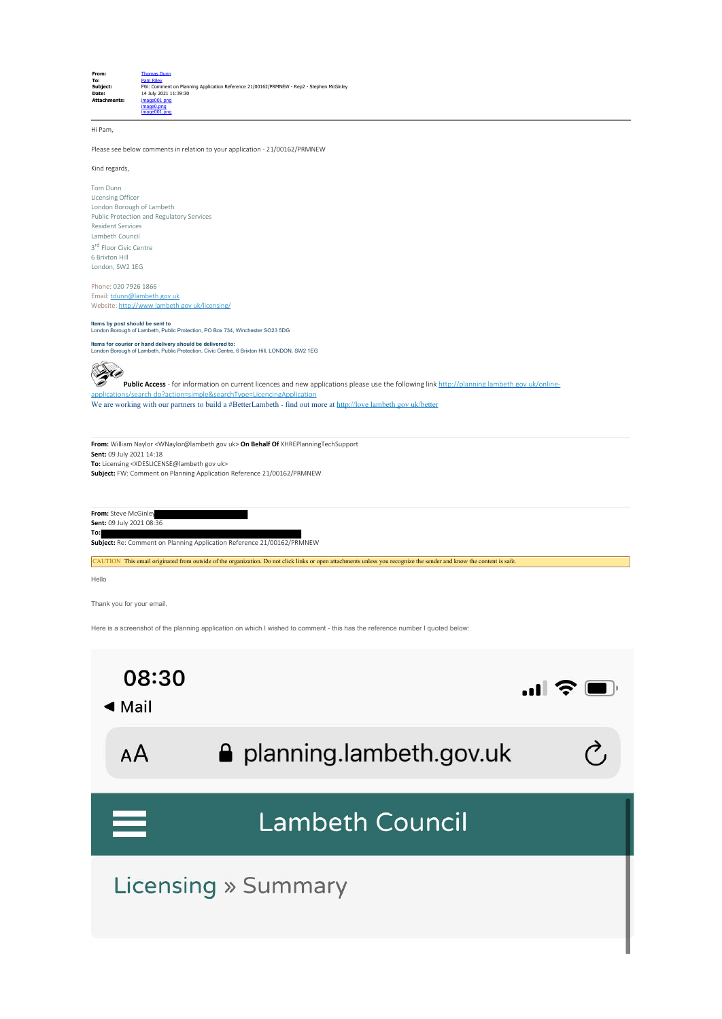

Hi Pam,

Please see below comments in relation to your application - 21/00162/PRMNEW

Kind regards,

Tom Dunn Licensing Officer London Borough of Lambeth Public Protection and Regulatory Services Resident Services Lambeth Council 3<sup>rd</sup> Floor Civic Centre 6 Brixton Hill London, SW2 1EG

Phone: 020 7926 1866 Email: tdunn@lambeth gov uk Website: http://www lambeth gov uk/licensing/

## **Items by post should be sent to** London Borough of Lambeth, Public Protection, PO Box 734, Winchester SO23 5DG

**Items for courier or hand delivery should be delivered to:**<br>London Borough of Lambeth, Public Protection, Civic Centre, 6 Brixton Hill, LONDON, SW2 1EG



**Public Access** - for information on current licences and new applications please use the following link http://planning lambeth gov uk/onlineapplications/search do?action=simple&searchType=LicencingApplication We are working with our partners to build a #BetterLambeth - find out more at http://love lambeth gov uk/better

**From:** William Naylor <WNaylor@lambeth gov uk> **On Behalf Of** XHREPlanningTechSupport **Sent:** 09 July 2021 14:18 **To:** Licensing <XDESLICENSE@lambeth gov uk> **Subject:** FW: Comment on Planning Application Reference 21/00162/PRMNEW

**From:** Steve McGinley **Sent:** 09 July 2021 08:36 **To: Subject:** Re: Comment on Planning Application Reference 21/00162/PRMNEW

CAUTION This email originated from outside of the organization. Do not click links or open attachments unless you recognize the sender and know the content is safe.

Hello

Thank you for your email.

Here is a screenshot of the planning application on which I wished to comment - this has the reference number I quoted below:

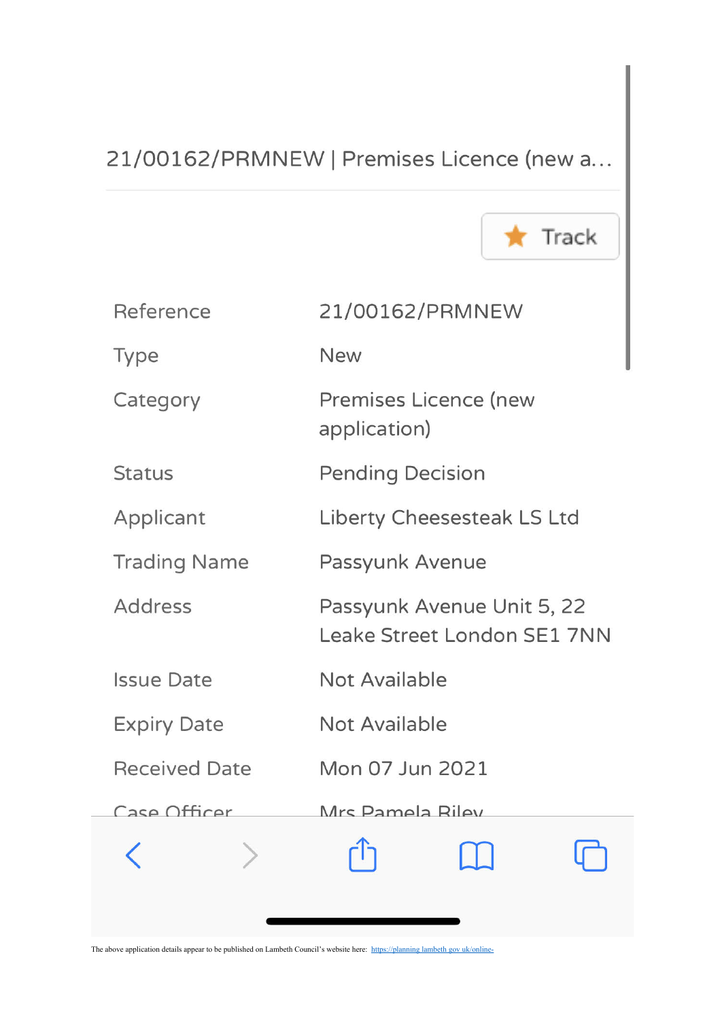# 21/00162/PRMNEW | Premises Licence (new a...



| Reference            | 21/00162/PRMNEW                                                  |
|----------------------|------------------------------------------------------------------|
| Type                 | <b>New</b>                                                       |
| Category             | <b>Premises Licence (new</b><br>application)                     |
| <b>Status</b>        | <b>Pending Decision</b>                                          |
| Applicant            | <b>Liberty Cheesesteak LS Ltd</b>                                |
| <b>Trading Name</b>  | Passyunk Avenue                                                  |
| <b>Address</b>       | Passyunk Avenue Unit 5, 22<br><b>Leake Street London SE1 7NN</b> |
| <b>Issue Date</b>    | <b>Not Available</b>                                             |
| <b>Expiry Date</b>   | <b>Not Available</b>                                             |
| <b>Received Date</b> | Mon 07 Jun 2021                                                  |
| Case Officer         | Mrs Pamela Riley                                                 |
|                      | ليل<br>$\Box$                                                    |
|                      |                                                                  |

The above application details appear to be published on Lambeth Council's website here: https://planning lambeth gov uk/online-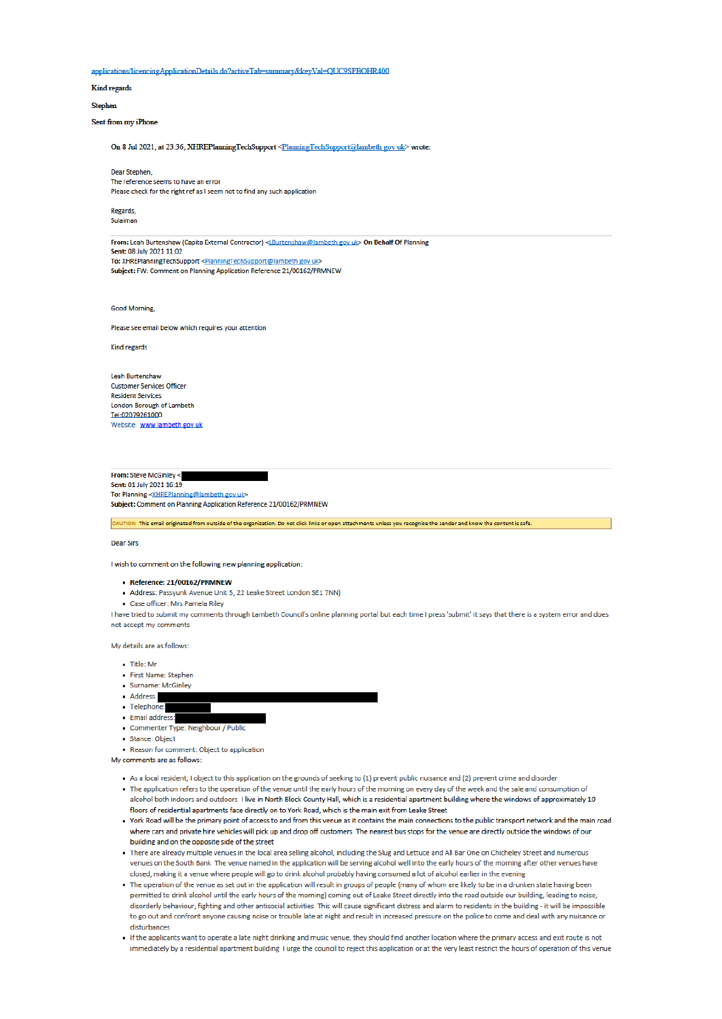applications/licencingApplicationDetails do?activeTab=summary&keyVal=QUC9SPBOHR400

Kind regards

#### **Stephen**

Sent from my iPhone

On 8 Jul 2021, at 23:36, XHREPlanningTechSupport <PlanningTechSupport@lambeth gov uk> wrote:

Dear Stephen The reference seems to have an error Please check for the right ref as I seem not to find any such application

Regards, Sulaiman

From: Leah Burtenshaw (Capita External Contractor) <LBurtenshaw@lambeth gov uk> On Behalf Of Planning Sent: 08 July 2021 11:02 To: XHREPlanningTechSupport <PlanningTechSupport@lambeth gov uk> Subject: FW: Comment on Planning Application Reference 21/00162/PRMNEW

**Good Morning** 

Please see email below which requires your attention

Kind regards

**Leah Burtenshaw Customer Services Officer Resident Services** London Borough of Lambeth Tel:02079261000 Website: www lambeth gov uk

From: Steve McGinley < Sent: 01 July 2021 16:19 To: Planning <XHREPlanning@lambeth gov uk> Subject: Comment on Planning Application Reference 21/00162/PRMNEW

CAUTION This email originated from outside of the organization. Do not click links or open attachments unless you recognize the sender and know the content is safe.

**Dear Sirs** 

I wish to comment on the following new planning application:

### • Reference: 21/00162/PRMNEW

- · Address: Passyunk Avenue Unit 5, 22 Leake Street London SE1 7NN)
- · Case officer: Mrs Pamela Riley

I have tried to submit my comments through Lambeth Council's online planning portal but each time I press 'submit' it says that there is a system error and does not accept my comments

My details are as follows:

- $\bullet$  Title: Mr
- · First Name: Stephen
- · Surname: McGinley
- · Address
- · Telephone:
- · Email address
- · Commenter Type: Neighbour / Publio
- · Stance: Object

• Reason for comment: Object to application

- As a local resident, I object to this application on the grounds of seeking to (1) prevent public nuisance and (2) prevent crime and disorder
- . The application refers to the operation of the venue until the early hours of the morning on every day of the week and the sale and consumption of alcohol both indoors and outdoors I live in North Block County Hall, which is a residential apartment building where the windows of approximately 10 floors of residential apartments face directly on to York Road, which is the main exit from Leake Street
- . York Road will be the primary point of access to and from this venue as it contains the main connections to the public transport network and the main road where cars and private hire vehicles will pick up and drop off customers The nearest bus stops for the venue are directly outside the windows of our building and on the opposite side of the street
- . There are already multiple venues in the local area selling alcohol, including the Slug and Lettuce and All Bar One on Chicheley Street and numerous venues on the South Bank The venue named in the application will be serving alcohol well into the early hours of the morning after other venues have closed, making it a venue where people will go to drink alcohol probably having consumed a lot of alcohol earlier in the evening
- . The operation of the venue as set out in the application will result in groups of people (many of whom are likely to be in a drunken state having been permitted to drink alcohol until the early hours of the morning) coming out of Leake Street directly into the road outside our building, leading to noise, disorderly behaviour, fighting and other antisocial activities This will cause significant distress and alarm to residents in the building - it will be impossible to go out and confront anyone causing noise or trouble late at night and result in increased pressure on the police to come and deal with any nuisance or disturbances
- . If the applicants want to operate a late night drinking and music venue, they should find another location where the primary access and exit route is not immediately by a residential apartment building I urge the council to reject this application or at the very least restrict the hours of operation of this venue

My comments are as follows: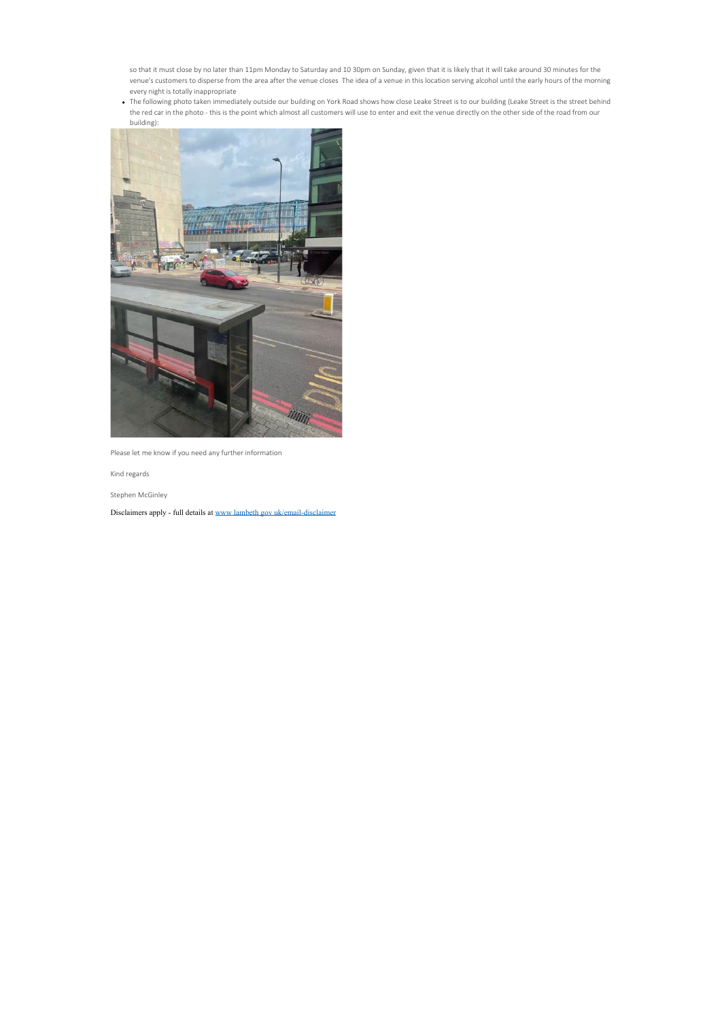so that it must close by no later than 11pm Monday to Saturday and 10 30pm on Sunday, given that it is likely that it will take around 30 minutes for the venue's customers to disperse from the area after the venue closes The idea of a venue in this location serving alcohol until the early hours of the morning every night is totally inappropriate

The following photo taken immediately outside our building on York Road shows how close Leake Street is to our building (Leake Street is the street behind the red car in the photo - this is the point which almost all customers will use to enter and exit the venue directly on the other side of the road from our building):



Please let me know if you need any further information

Kind regards

Stephen McGinley

Disclaimers apply - full details at www lambeth gov uk/email-disclaimer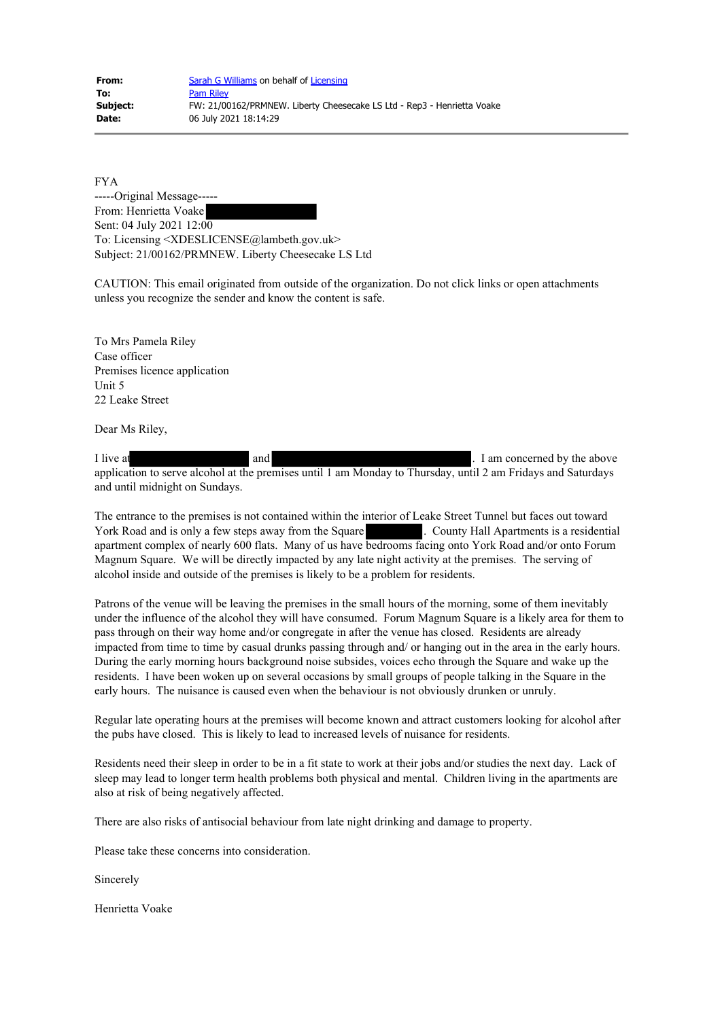FYA -----Original Message----- From: Henrietta Voake Sent: 04 July 2021 12:00 To: Licensing <XDESLICENSE@lambeth.gov.uk> Subject: 21/00162/PRMNEW. Liberty Cheesecake LS Ltd

CAUTION: This email originated from outside of the organization. Do not click links or open attachments unless you recognize the sender and know the content is safe.

To Mrs Pamela Riley Case officer Premises licence application Unit 5 22 Leake Street

Dear Ms Riley,

I live at and and and  $\Box$  I am concerned by the above application to serve alcohol at the premises until 1 am Monday to Thursday, until 2 am Fridays and Saturdays and until midnight on Sundays.

The entrance to the premises is not contained within the interior of Leake Street Tunnel but faces out toward York Road and is only a few steps away from the Square . County Hall Apartments is a residential apartment complex of nearly 600 flats. Many of us have bedrooms facing onto York Road and/or onto Forum Magnum Square. We will be directly impacted by any late night activity at the premises. The serving of alcohol inside and outside of the premises is likely to be a problem for residents.

Patrons of the venue will be leaving the premises in the small hours of the morning, some of them inevitably under the influence of the alcohol they will have consumed. Forum Magnum Square is a likely area for them to pass through on their way home and/or congregate in after the venue has closed. Residents are already impacted from time to time by casual drunks passing through and/ or hanging out in the area in the early hours. During the early morning hours background noise subsides, voices echo through the Square and wake up the residents. I have been woken up on several occasions by small groups of people talking in the Square in the early hours. The nuisance is caused even when the behaviour is not obviously drunken or unruly.

Regular late operating hours at the premises will become known and attract customers looking for alcohol after the pubs have closed. This is likely to lead to increased levels of nuisance for residents.

Residents need their sleep in order to be in a fit state to work at their jobs and/or studies the next day. Lack of sleep may lead to longer term health problems both physical and mental. Children living in the apartments are also at risk of being negatively affected.

There are also risks of antisocial behaviour from late night drinking and damage to property.

Please take these concerns into consideration.

Sincerely

Henrietta Voake